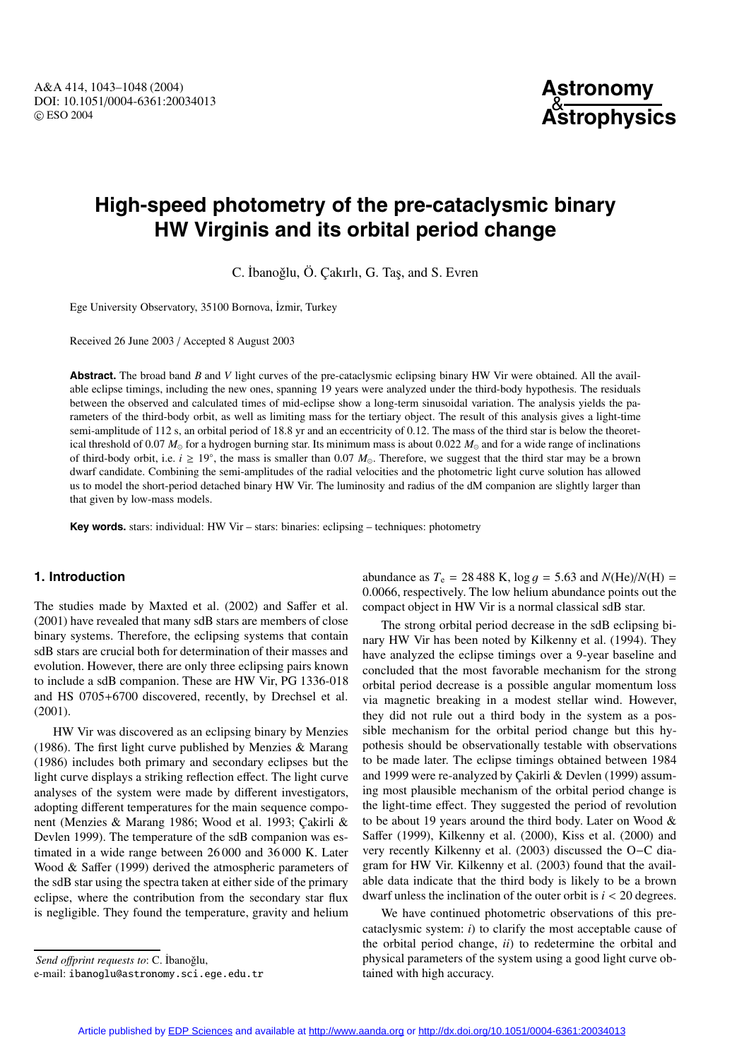# **High-speed photometry of the pre-cataclysmic binary HW Virginis and its orbital period change**

C. İbanoğlu, Ö. Çakırlı, G. Taş, and S. Evren

Ege University Observatory, 35100 Bornova, İzmir, Turkey

Received 26 June 2003 / Accepted 8 August 2003

**Abstract.** The broad band *B* and *V* light curves of the pre-cataclysmic eclipsing binary HW Vir were obtained. All the available eclipse timings, including the new ones, spanning 19 years were analyzed under the third-body hypothesis. The residuals between the observed and calculated times of mid-eclipse show a long-term sinusoidal variation. The analysis yields the parameters of the third-body orbit, as well as limiting mass for the tertiary object. The result of this analysis gives a light-time semi-amplitude of 112 s, an orbital period of 18.8 yr and an eccentricity of 0.12. The mass of the third star is below the theoretical threshold of 0.07  $M_{\odot}$  for a hydrogen burning star. Its minimum mass is about 0.022  $M_{\odot}$  and for a wide range of inclinations of third-body orbit, i.e.  $i \ge 19^\circ$ , the mass is smaller than 0.07  $M_\odot$ . Therefore, we suggest that the third star may be a brown dwarf candidate. Combining the semi-amplitudes of the radial velocities and the photometric light curve solution has allowed us to model the short-period detached binary HW Vir. The luminosity and radius of the dM companion are slightly larger than that given by low-mass models.

**Key words.** stars: individual: HW Vir – stars: binaries: eclipsing – techniques: photometry

## **1. Introduction**

The studies made by Maxted et al. (2002) and Saffer et al. (2001) have revealed that many sdB stars are members of close binary systems. Therefore, the eclipsing systems that contain sdB stars are crucial both for determination of their masses and evolution. However, there are only three eclipsing pairs known to include a sdB companion. These are HW Vir, PG 1336-018 and HS 0705+6700 discovered, recently, by Drechsel et al. (2001).

HW Vir was discovered as an eclipsing binary by Menzies (1986). The first light curve published by Menzies & Marang (1986) includes both primary and secondary eclipses but the light curve displays a striking reflection effect. The light curve analyses of the system were made by different investigators, adopting different temperatures for the main sequence component (Menzies & Marang 1986; Wood et al. 1993; Cakirli & Devlen 1999). The temperature of the sdB companion was estimated in a wide range between 26 000 and 36 000 K. Later Wood & Saffer (1999) derived the atmospheric parameters of the sdB star using the spectra taken at either side of the primary eclipse, where the contribution from the secondary star flux is negligible. They found the temperature, gravity and helium abundance as  $T_e = 28\,488$  K,  $\log g = 5.63$  and  $N(\text{He})/N(\text{H}) =$ <sup>0</sup>.0066, respectively. The low helium abundance points out the compact object in HW Vir is a normal classical sdB star.

The strong orbital period decrease in the sdB eclipsing binary HW Vir has been noted by Kilkenny et al. (1994). They have analyzed the eclipse timings over a 9-year baseline and concluded that the most favorable mechanism for the strong orbital period decrease is a possible angular momentum loss via magnetic breaking in a modest stellar wind. However, they did not rule out a third body in the system as a possible mechanism for the orbital period change but this hypothesis should be observationally testable with observations to be made later. The eclipse timings obtained between 1984 and 1999 were re-analyzed by Çakirli & Devlen (1999) assuming most plausible mechanism of the orbital period change is the light-time effect. They suggested the period of revolution to be about 19 years around the third body. Later on Wood & Saffer (1999), Kilkenny et al. (2000), Kiss et al. (2000) and very recently Kilkenny et al. (2003) discussed the O−C diagram for HW Vir. Kilkenny et al. (2003) found that the available data indicate that the third body is likely to be a brown dwarf unless the inclination of the outer orbit is  $i < 20$  degrees.

We have continued photometric observations of this precataclysmic system: *i*) to clarify the most acceptable cause of the orbital period change, *ii*) to redetermine the orbital and physical parameters of the system using a good light curve obtained with high accuracy.

*Send offprint requests to:* C. İbanoğlu,

e-mail: ibanoglu@astronomy.sci.ege.edu.tr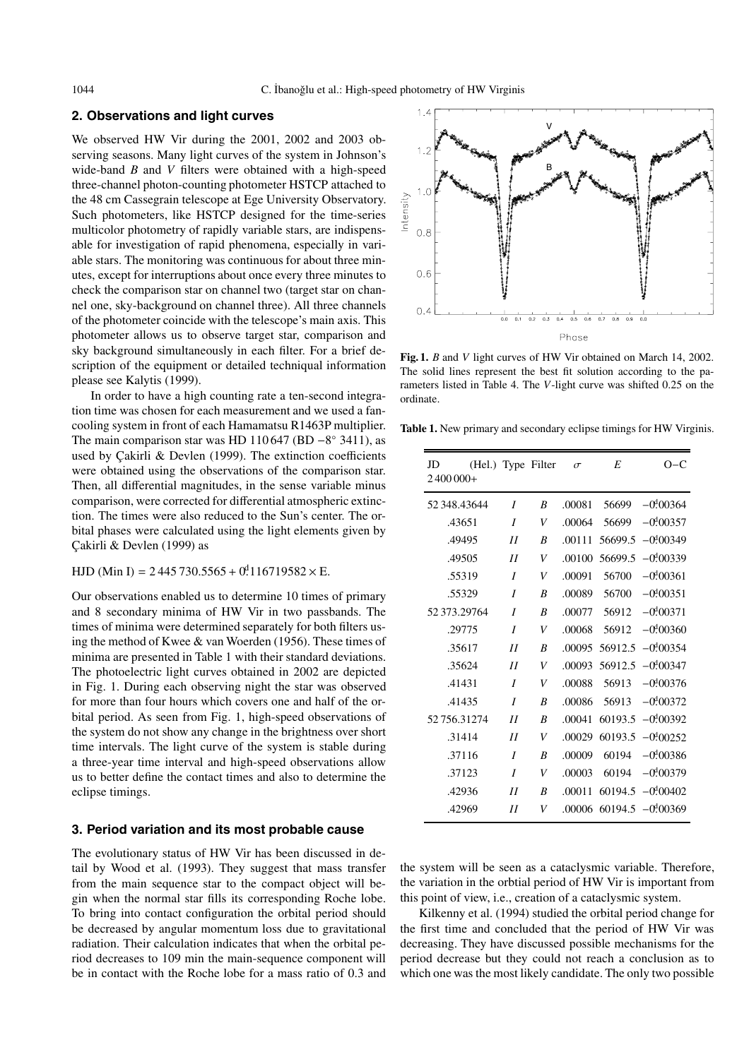## **2. Observations and light curves**

We observed HW Vir during the 2001, 2002 and 2003 observing seasons. Many light curves of the system in Johnson's wide-band *B* and *V* filters were obtained with a high-speed three-channel photon-counting photometer HSTCP attached to the 48 cm Cassegrain telescope at Ege University Observatory. Such photometers, like HSTCP designed for the time-series multicolor photometry of rapidly variable stars, are indispensable for investigation of rapid phenomena, especially in variable stars. The monitoring was continuous for about three minutes, except for interruptions about once every three minutes to check the comparison star on channel two (target star on channel one, sky-background on channel three). All three channels of the photometer coincide with the telescope's main axis. This photometer allows us to observe target star, comparison and sky background simultaneously in each filter. For a brief description of the equipment or detailed techniqual information please see Kalytis (1999).

In order to have a high counting rate a ten-second integration time was chosen for each measurement and we used a fancooling system in front of each Hamamatsu R1463P multiplier. The main comparison star was HD 110 647 (BD −8° 3411), as used by Çakirli & Devlen (1999). The extinction coefficients were obtained using the observations of the comparison star. Then, all differential magnitudes, in the sense variable minus comparison, were corrected for differential atmospheric extinction. The times were also reduced to the Sun's center. The orbital phases were calculated using the light elements given by Cakirli & Devlen (1999) as

HJD (Min I) = 2 445 730.5565 + 0<sup>4</sup> 116719582  $\times$  E.

Our observations enabled us to determine 10 times of primary and 8 secondary minima of HW Vir in two passbands. The times of minima were determined separately for both filters using the method of Kwee & van Woerden (1956). These times of minima are presented in Table 1 with their standard deviations. The photoelectric light curves obtained in 2002 are depicted in Fig. 1. During each observing night the star was observed for more than four hours which covers one and half of the orbital period. As seen from Fig. 1, high-speed observations of the system do not show any change in the brightness over short time intervals. The light curve of the system is stable during a three-year time interval and high-speed observations allow us to better define the contact times and also to determine the eclipse timings.

#### **3. Period variation and its most probable cause**

The evolutionary status of HW Vir has been discussed in detail by Wood et al. (1993). They suggest that mass transfer from the main sequence star to the compact object will begin when the normal star fills its corresponding Roche lobe. To bring into contact configuration the orbital period should be decreased by angular momentum loss due to gravitational radiation. Their calculation indicates that when the orbital period decreases to 109 min the main-sequence component will be in contact with the Roche lobe for a mass ratio of 0.3 and



**Fig. 1.** *B* and *V* light curves of HW Vir obtained on March 14, 2002. The solid lines represent the best fit solution according to the parameters listed in Table 4. The *V*-light curve was shifted 0.25 on the ordinate.

**Table 1.** New primary and secondary eclipse timings for HW Virginis.

| JD           |                  | (Hel.) Type Filter | $\sigma$ | E              | $O-C$                       |
|--------------|------------------|--------------------|----------|----------------|-----------------------------|
| $2400000+$   |                  |                    |          |                |                             |
| 52 348.43644 | I                | B                  | .00081   | 56699          | $-0.00364$                  |
| .43651       | $\boldsymbol{I}$ | V                  | .00064   | 56699          | $-0.00357$                  |
| .49495       | II               | B                  | .00111   | 56699.5        | $-0.00349$                  |
| .49505       | II               | V                  | .00100   | 56699.5        | $-0.00339$                  |
| .55319       | I                | V                  | .00091   | 56700          | $-0.00361$                  |
| .55329       | I                | B                  | .00089   | 56700          | $-0.00351$                  |
| 52 373.29764 | I                | B                  | .00077   | 56912          | $-0.00371$                  |
| .29775       | I                | V                  | .00068   | 56912          | $-0.00360$                  |
| .35617       | II               | B                  | .00095   | 56912.5        | $-0.00354$                  |
| .35624       | II               | V                  |          | .00093 56912.5 | $-0.00347$                  |
| .41431       | $\overline{I}$   | V                  | .00088   | 56913          | $-0.00376$                  |
| .41435       | I                | B                  | .00086   | 56913          | $-0.00372$                  |
| 52756.31274  | II               | B                  | .00041   | 60193.5        | $-0.00392$                  |
| .31414       | II               | V                  | .00029   |                | $60193.5 - 0.00252$         |
| .37116       | I                | B                  | .00009   | 60194          | $-0.00386$                  |
| .37123       | $\boldsymbol{I}$ | V                  | .00003   | 60194          | $-0,000379$                 |
| .42936       | II               | B                  | .00011   |                | $60194.5 - 0.00402$         |
| .42969       | II               | V                  |          |                | $.00006$ 60194.5 $-0.00369$ |

the system will be seen as a cataclysmic variable. Therefore, the variation in the orbtial period of HW Vir is important from this point of view, i.e., creation of a cataclysmic system.

Kilkenny et al. (1994) studied the orbital period change for the first time and concluded that the period of HW Vir was decreasing. They have discussed possible mechanisms for the period decrease but they could not reach a conclusion as to which one was the most likely candidate. The only two possible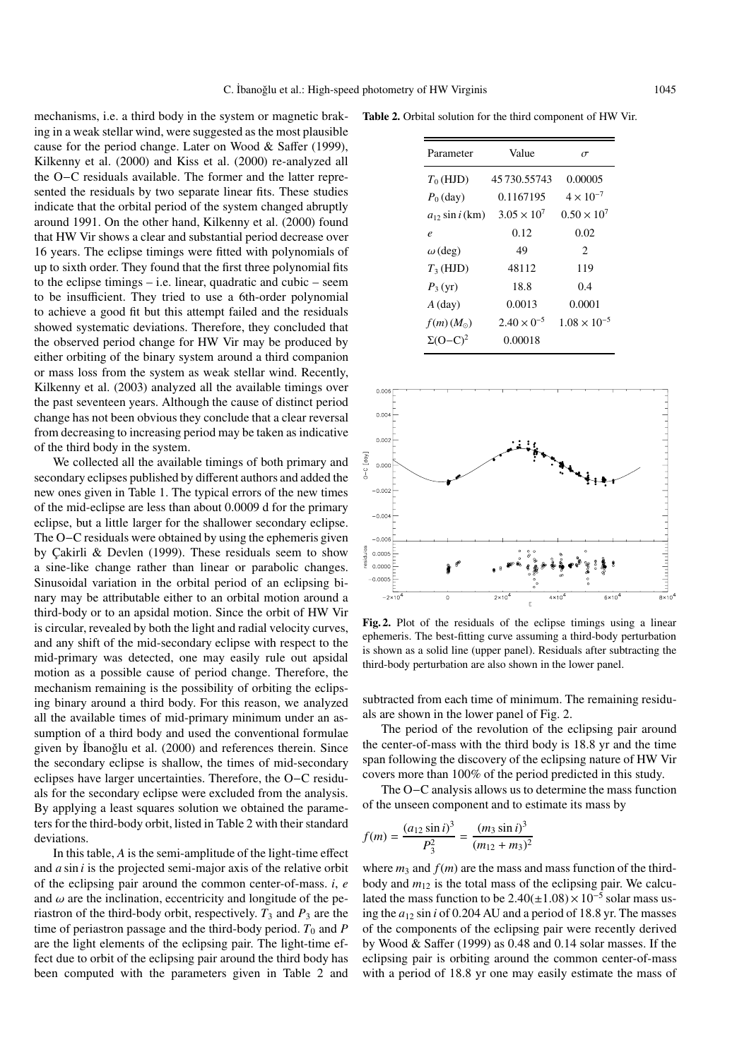mechanisms, i.e. a third body in the system or magnetic braking in a weak stellar wind, were suggested as the most plausible cause for the period change. Later on Wood & Saffer (1999), Kilkenny et al. (2000) and Kiss et al. (2000) re-analyzed all the O−C residuals available. The former and the latter represented the residuals by two separate linear fits. These studies indicate that the orbital period of the system changed abruptly around 1991. On the other hand, Kilkenny et al. (2000) found that HW Vir shows a clear and substantial period decrease over 16 years. The eclipse timings were fitted with polynomials of up to sixth order. They found that the first three polynomial fits to the eclipse timings – i.e. linear, quadratic and cubic – seem to be insufficient. They tried to use a 6th-order polynomial to achieve a good fit but this attempt failed and the residuals showed systematic deviations. Therefore, they concluded that the observed period change for HW Vir may be produced by either orbiting of the binary system around a third companion or mass loss from the system as weak stellar wind. Recently, Kilkenny et al. (2003) analyzed all the available timings over the past seventeen years. Although the cause of distinct period change has not been obvious they conclude that a clear reversal from decreasing to increasing period may be taken as indicative of the third body in the system.

We collected all the available timings of both primary and secondary eclipses published by different authors and added the new ones given in Table 1. The typical errors of the new times of the mid-eclipse are less than about 0.0009 d for the primary eclipse, but a little larger for the shallower secondary eclipse. The O−C residuals were obtained by using the ephemeris given by Çakirli & Devlen (1999). These residuals seem to show a sine-like change rather than linear or parabolic changes. Sinusoidal variation in the orbital period of an eclipsing binary may be attributable either to an orbital motion around a third-body or to an apsidal motion. Since the orbit of HW Vir is circular, revealed by both the light and radial velocity curves, and any shift of the mid-secondary eclipse with respect to the mid-primary was detected, one may easily rule out apsidal motion as a possible cause of period change. Therefore, the mechanism remaining is the possibility of orbiting the eclipsing binary around a third body. For this reason, we analyzed all the available times of mid-primary minimum under an assumption of a third body and used the conventional formulae given by İbanoğlu et al. (2000) and references therein. Since the secondary eclipse is shallow, the times of mid-secondary eclipses have larger uncertainties. Therefore, the O−C residuals for the secondary eclipse were excluded from the analysis. By applying a least squares solution we obtained the parameters for the third-body orbit, listed in Table 2 with their standard deviations.

In this table, *A* is the semi-amplitude of the light-time effect and *a* sin *i* is the projected semi-major axis of the relative orbit of the eclipsing pair around the common center-of-mass. *i*, *e* and  $\omega$  are the inclination, eccentricity and longitude of the periastron of the third-body orbit, respectively.  $T_3$  and  $P_3$  are the time of periastron passage and the third-body period.  $T_0$  and  $P$ are the light elements of the eclipsing pair. The light-time effect due to orbit of the eclipsing pair around the third body has been computed with the parameters given in Table 2 and

**Table 2.** Orbital solution for the third component of HW Vir.

| Parameter                  | Value                | $\sigma$              |  |
|----------------------------|----------------------|-----------------------|--|
| $T_0$ (HJD)                | 45 730 55743         | 0.00005               |  |
| $P_0$ (day)                | 0.1167195            | $4 \times 10^{-7}$    |  |
| $a_{12}$ sin <i>i</i> (km) | $3.05 \times 10^{7}$ | $0.50 \times 10^{7}$  |  |
| $\boldsymbol{e}$           | 0.12                 | 0.02                  |  |
| $\omega$ (deg)             | 49                   | 2                     |  |
| $T_3$ (HJD)                | 48112                | 119                   |  |
| $P_3(yr)$                  | 18.8                 | 0.4                   |  |
| $A$ (day)                  | 0.0013               | 0.0001                |  |
| $f(m)(M_{\odot})$          | $2.40 \times 0^{-5}$ | $1.08 \times 10^{-5}$ |  |
| $\Sigma(O-C)^2$            | 0.00018              |                       |  |



**Fig. 2.** Plot of the residuals of the eclipse timings using a linear ephemeris. The best-fitting curve assuming a third-body perturbation is shown as a solid line (upper panel). Residuals after subtracting the third-body perturbation are also shown in the lower panel.

subtracted from each time of minimum. The remaining residuals are shown in the lower panel of Fig. 2.

The period of the revolution of the eclipsing pair around the center-of-mass with the third body is 18.8 yr and the time span following the discovery of the eclipsing nature of HW Vir covers more than 100% of the period predicted in this study.

The O−C analysis allows us to determine the mass function of the unseen component and to estimate its mass by

$$
f(m) = \frac{(a_{12} \sin i)^3}{P_3^2} = \frac{(m_3 \sin i)^3}{(m_{12} + m_3)^2}
$$

where  $m_3$  and  $f(m)$  are the mass and mass function of the thirdbody and  $m_{12}$  is the total mass of the eclipsing pair. We calculated the mass function to be  $2.40(\pm1.08) \times 10^{-5}$  solar mass using the  $a_{12}$  sin *i* of 0.204 AU and a period of 18.8 yr. The masses of the components of the eclipsing pair were recently derived by Wood & Saffer (1999) as 0.48 and 0.14 solar masses. If the eclipsing pair is orbiting around the common center-of-mass with a period of 18.8 yr one may easily estimate the mass of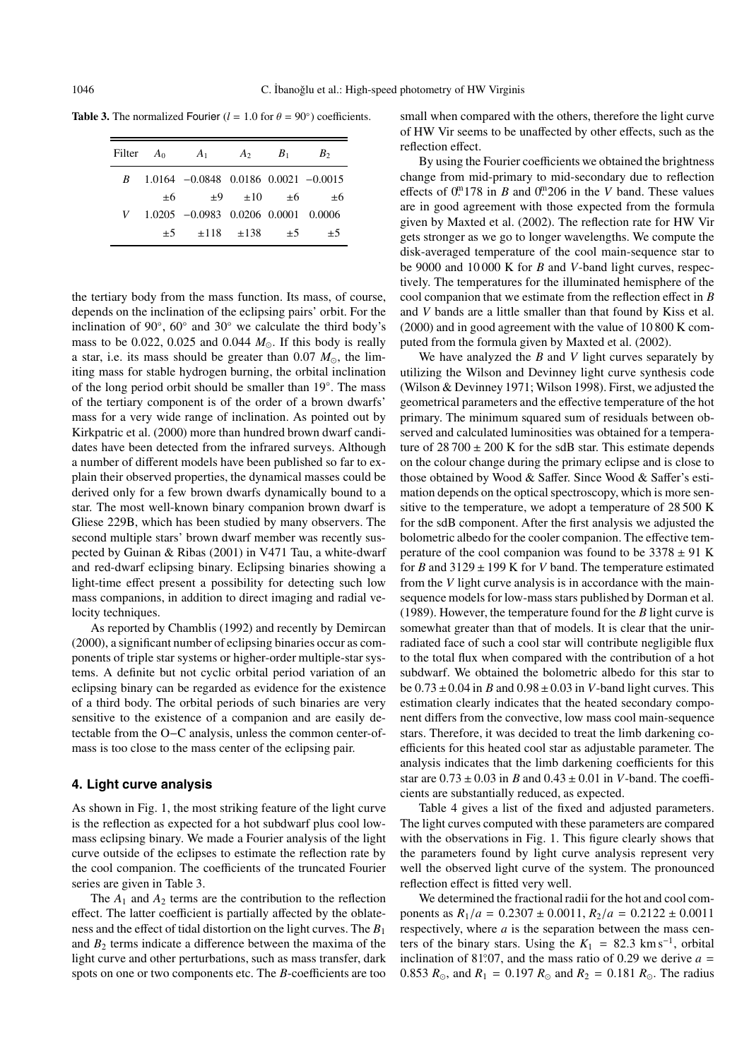**Table 3.** The normalized Fourier ( $l = 1.0$  for  $\theta = 90°$ ) coefficients.

| Filter $A_0$ | $A_1$                                        |                     | $A_2$ $B_1$ | B <sub>2</sub> |
|--------------|----------------------------------------------|---------------------|-------------|----------------|
|              | $B = 1.0164 -0.0848 -0.0186 -0.0021 -0.0015$ |                     |             |                |
| $\pm 6$      |                                              | $\pm 9$ $\pm 10$    | $\pm 6$     | ±6             |
|              | $V$ 1.0205 -0.0983 0.0206 0.0001 0.0006      |                     |             |                |
| $\pm 5$      |                                              | $\pm 118$ $\pm 138$ | $+5$        | $+5$           |
|              |                                              |                     |             |                |

the tertiary body from the mass function. Its mass, of course, depends on the inclination of the eclipsing pairs' orbit. For the inclination of 90 $\degree$ , 60 $\degree$  and 30 $\degree$  we calculate the third body's mass to be  $0.022$ ,  $0.025$  and  $0.044$   $M_{\odot}$ . If this body is really a star, i.e. its mass should be greater than  $0.07 M_{\odot}$ , the limiting mass for stable hydrogen burning, the orbital inclination of the long period orbit should be smaller than 19◦. The mass of the tertiary component is of the order of a brown dwarfs' mass for a very wide range of inclination. As pointed out by Kirkpatric et al. (2000) more than hundred brown dwarf candidates have been detected from the infrared surveys. Although a number of different models have been published so far to explain their observed properties, the dynamical masses could be derived only for a few brown dwarfs dynamically bound to a star. The most well-known binary companion brown dwarf is Gliese 229B, which has been studied by many observers. The second multiple stars' brown dwarf member was recently suspected by Guinan & Ribas (2001) in V471 Tau, a white-dwarf and red-dwarf eclipsing binary. Eclipsing binaries showing a light-time effect present a possibility for detecting such low mass companions, in addition to direct imaging and radial velocity techniques.

As reported by Chamblis (1992) and recently by Demircan (2000), a significant number of eclipsing binaries occur as components of triple star systems or higher-order multiple-star systems. A definite but not cyclic orbital period variation of an eclipsing binary can be regarded as evidence for the existence of a third body. The orbital periods of such binaries are very sensitive to the existence of a companion and are easily detectable from the O−C analysis, unless the common center-ofmass is too close to the mass center of the eclipsing pair.

## **4. Light curve analysis**

As shown in Fig. 1, the most striking feature of the light curve is the reflection as expected for a hot subdwarf plus cool lowmass eclipsing binary. We made a Fourier analysis of the light curve outside of the eclipses to estimate the reflection rate by the cool companion. The coefficients of the truncated Fourier series are given in Table 3.

The  $A_1$  and  $A_2$  terms are the contribution to the reflection effect. The latter coefficient is partially affected by the oblateness and the effect of tidal distortion on the light curves. The *B*<sup>1</sup> and  $B_2$  terms indicate a difference between the maxima of the light curve and other perturbations, such as mass transfer, dark spots on one or two components etc. The *B*-coefficients are too small when compared with the others, therefore the light curve of HW Vir seems to be unaffected by other effects, such as the reflection effect.

By using the Fourier coefficients we obtained the brightness change from mid-primary to mid-secondary due to reflection effects of  $0^{m}$  178 in *B* and  $0^{m}$  206 in the *V* band. These values are in good agreement with those expected from the formula given by Maxted et al. (2002). The reflection rate for HW Vir gets stronger as we go to longer wavelengths. We compute the disk-averaged temperature of the cool main-sequence star to be 9000 and 10 000 K for *B* and *V*-band light curves, respectively. The temperatures for the illuminated hemisphere of the cool companion that we estimate from the reflection effect in *B* and *V* bands are a little smaller than that found by Kiss et al. (2000) and in good agreement with the value of 10 800 K computed from the formula given by Maxted et al. (2002).

We have analyzed the *B* and *V* light curves separately by utilizing the Wilson and Devinney light curve synthesis code (Wilson & Devinney 1971; Wilson 1998). First, we adjusted the geometrical parameters and the effective temperature of the hot primary. The minimum squared sum of residuals between observed and calculated luminosities was obtained for a temperature of  $28700 \pm 200$  K for the sdB star. This estimate depends on the colour change during the primary eclipse and is close to those obtained by Wood & Saffer. Since Wood & Saffer's estimation depends on the optical spectroscopy, which is more sensitive to the temperature, we adopt a temperature of 28 500 K for the sdB component. After the first analysis we adjusted the bolometric albedo for the cooler companion. The effective temperature of the cool companion was found to be  $3378 \pm 91$  K for *B* and 3129 ± 199 K for *V* band. The temperature estimated from the *V* light curve analysis is in accordance with the mainsequence models for low-mass stars published by Dorman et al. (1989). However, the temperature found for the *B* light curve is somewhat greater than that of models. It is clear that the unirradiated face of such a cool star will contribute negligible flux to the total flux when compared with the contribution of a hot subdwarf. We obtained the bolometric albedo for this star to be  $0.73 \pm 0.04$  in *B* and  $0.98 \pm 0.03$  in *V*-band light curves. This estimation clearly indicates that the heated secondary component differs from the convective, low mass cool main-sequence stars. Therefore, it was decided to treat the limb darkening coefficients for this heated cool star as adjustable parameter. The analysis indicates that the limb darkening coefficients for this star are  $0.73 \pm 0.03$  in *B* and  $0.43 \pm 0.01$  in *V*-band. The coefficients are substantially reduced, as expected.

Table 4 gives a list of the fixed and adjusted parameters. The light curves computed with these parameters are compared with the observations in Fig. 1. This figure clearly shows that the parameters found by light curve analysis represent very well the observed light curve of the system. The pronounced reflection effect is fitted very well.

We determined the fractional radii for the hot and cool components as  $R_1/a = 0.2307 \pm 0.0011$ ,  $R_2/a = 0.2122 \pm 0.0011$ respectively, where *a* is the separation between the mass centers of the binary stars. Using the  $K_1 = 82.3$  km s<sup>-1</sup>, orbital inclination of 81.07, and the mass ratio of 0.29 we derive  $a = 0.853 R$ , and  $R_1 = 0.197 R$ , and  $R_2 = 0.181 R$ . The radius 0.853  $R_{\odot}$ , and  $R_1 = 0.197 R_{\odot}$  and  $R_2 = 0.181 R_{\odot}$ . The radius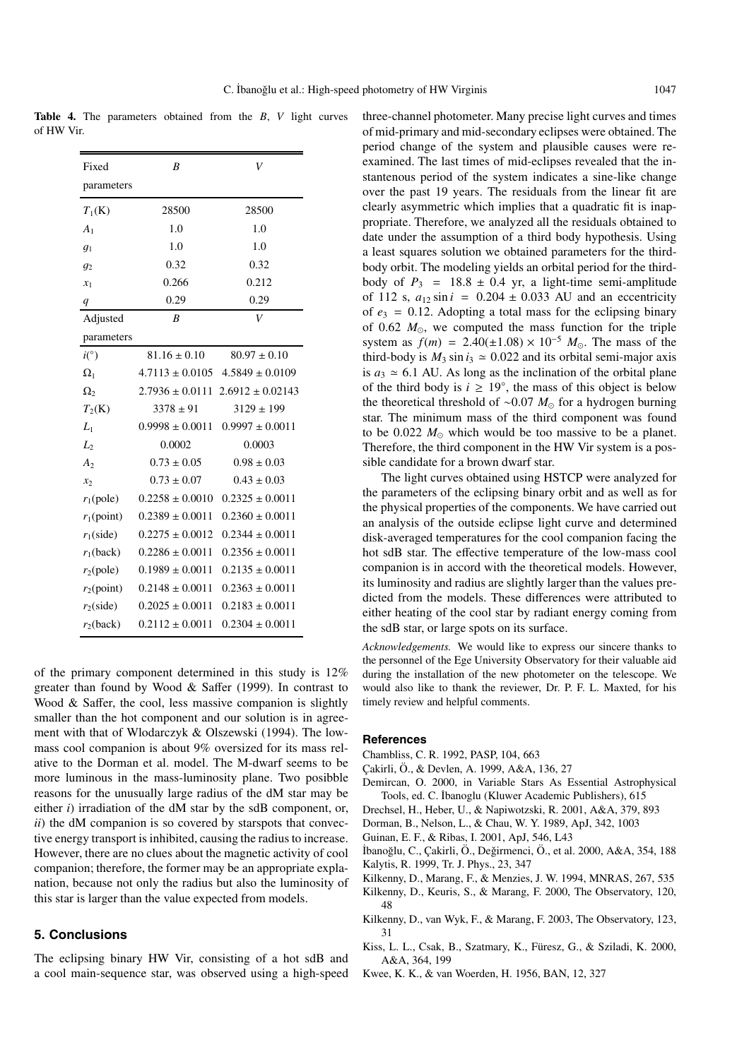**Table 4.** The parameters obtained from the *B*, *V* light curves of HW Vir.

| Fixed            | B                   | V                                        |  |
|------------------|---------------------|------------------------------------------|--|
| parameters       |                     |                                          |  |
| $T_1(K)$         | 28500               | 28500                                    |  |
| $A_1$            | 1.0                 | 1.0                                      |  |
| $g_1$            | 1.0                 | 1.0                                      |  |
| g <sub>2</sub>   | 0.32                | 0.32                                     |  |
| $x_1$            | 0.266               | 0.212                                    |  |
| $\boldsymbol{q}$ | 0.29                | 0.29                                     |  |
| Adjusted         | B                   | $\bar{V}$                                |  |
| parameters       |                     |                                          |  |
| i(°)             | $81.16 \pm 0.10$    | $80.97 \pm 0.10$                         |  |
| $\Omega_1$       | $4.7113 \pm 0.0105$ | $4.5849 \pm 0.0109$                      |  |
| $\Omega_{2}$     |                     | $2.7936 \pm 0.0111$ $2.6912 \pm 0.02143$ |  |
| $T_2(K)$         | $3378 \pm 91$       | $3129 \pm 199$                           |  |
| $L_{1}$          | $0.9998 \pm 0.0011$ | $0.9997 \pm 0.0011$                      |  |
| $L_2$            | 0.0002              | 0.0003                                   |  |
| A <sub>2</sub>   | $0.73 \pm 0.05$     | $0.98 \pm 0.03$                          |  |
| $x_2$            | $0.73 \pm 0.07$     | $0.43 \pm 0.03$                          |  |
| $r_1$ (pole)     | $0.2258 \pm 0.0010$ | $0.2325 \pm 0.0011$                      |  |
| $r_1$ (point)    | $0.2389 \pm 0.0011$ | $0.2360 \pm 0.0011$                      |  |
| $r_1$ (side)     | $0.2275 \pm 0.0012$ | $0.2344 \pm 0.0011$                      |  |
| $r_1$ (back)     | $0.2286 \pm 0.0011$ | $0.2356 \pm 0.0011$                      |  |
| $r_2$ (pole)     | $0.1989 \pm 0.0011$ | $0.2135 \pm 0.0011$                      |  |
| $r_2$ (point)    | $0.2148 \pm 0.0011$ | $0.2363 \pm 0.0011$                      |  |
| $r_2$ (side)     | $0.2025 \pm 0.0011$ | $0.2183 \pm 0.0011$                      |  |
| $r_2$ (back)     | $0.2112 \pm 0.0011$ | $0.2304 \pm 0.0011$                      |  |

of the primary component determined in this study is 12% greater than found by Wood & Saffer (1999). In contrast to Wood & Saffer, the cool, less massive companion is slightly smaller than the hot component and our solution is in agreement with that of Wlodarczyk & Olszewski (1994). The lowmass cool companion is about 9% oversized for its mass relative to the Dorman et al. model. The M-dwarf seems to be more luminous in the mass-luminosity plane. Two posibble reasons for the unusually large radius of the dM star may be either *i*) irradiation of the dM star by the sdB component, or, *ii*) the dM companion is so covered by starspots that convective energy transport is inhibited, causing the radius to increase. However, there are no clues about the magnetic activity of cool companion; therefore, the former may be an appropriate explanation, because not only the radius but also the luminosity of this star is larger than the value expected from models.

### **5. Conclusions**

The eclipsing binary HW Vir, consisting of a hot sdB and a cool main-sequence star, was observed using a high-speed three-channel photometer. Many precise light curves and times of mid-primary and mid-secondary eclipses were obtained. The period change of the system and plausible causes were reexamined. The last times of mid-eclipses revealed that the instantenous period of the system indicates a sine-like change over the past 19 years. The residuals from the linear fit are clearly asymmetric which implies that a quadratic fit is inappropriate. Therefore, we analyzed all the residuals obtained to date under the assumption of a third body hypothesis. Using a least squares solution we obtained parameters for the thirdbody orbit. The modeling yields an orbital period for the thirdbody of  $P_3$  = 18.8  $\pm$  0.4 yr, a light-time semi-amplitude of 112 s,  $a_{12}$  sin  $i = 0.204 \pm 0.033$  AU and an eccentricity of  $e_3$  = 0.12. Adopting a total mass for the eclipsing binary of 0.62  $M_{\odot}$ , we computed the mass function for the triple system as  $f(m) = 2.40(\pm 1.08) \times 10^{-5} M_{\odot}$ . The mass of the third-body is  $M_2 \sin i_2 \approx 0.022$  and its orbital semi-major axis third-body is  $M_3 \sin i_3 \approx 0.022$  and its orbital semi-major axis is  $a_3 \approx 6.1$  AU. As long as the inclination of the orbital plane of the third body is  $i \geq 19^\circ$ , the mass of this object is below the theoretical threshold of ~0.07 *M*<sub>o</sub> for a hydrogen burning star. The minimum mass of the third component was found to be  $0.022$   $M_{\odot}$  which would be too massive to be a planet. Therefore, the third component in the HW Vir system is a possible candidate for a brown dwarf star.

The light curves obtained using HSTCP were analyzed for the parameters of the eclipsing binary orbit and as well as for the physical properties of the components. We have carried out an analysis of the outside eclipse light curve and determined disk-averaged temperatures for the cool companion facing the hot sdB star. The effective temperature of the low-mass cool companion is in accord with the theoretical models. However, its luminosity and radius are slightly larger than the values predicted from the models. These differences were attributed to either heating of the cool star by radiant energy coming from the sdB star, or large spots on its surface.

*Acknowledgements.* We would like to express our sincere thanks to the personnel of the Ege University Observatory for their valuable aid during the installation of the new photometer on the telescope. We would also like to thank the reviewer, Dr. P. F. L. Maxted, for his timely review and helpful comments.

#### **References**

- Chambliss, C. R. 1992, PASP, 104, 663
- Çakirli, Ö., & Devlen, A. 1999, A&A, 136, 27
- Demircan, O. 2000, in Variable Stars As Essential Astrophysical Tools, ed. C. ˙Ibanoglu (Kluwer Academic Publishers), 615
- Drechsel, H., Heber, U., & Napiwotzski, R. 2001, A&A, 379, 893
- Dorman, B., Nelson, L., & Chau, W. Y. 1989, ApJ, 342, 1003
- Guinan, E. F., & Ribas, I. 2001, ApJ, 546, L43
- İbanoğlu, C., Çakirli, Ö., Değirmenci, Ö., et al. 2000, A&A, 354, 188 Kalytis, R. 1999, Tr. J. Phys., 23, 347
- Kilkenny, D., Marang, F., & Menzies, J. W. 1994, MNRAS, 267, 535
- Kilkenny, D., Keuris, S., & Marang, F. 2000, The Observatory, 120, 48
- Kilkenny, D., van Wyk, F., & Marang, F. 2003, The Observatory, 123, 31
- Kiss, L. L., Csak, B., Szatmary, K., Füresz, G., & Sziladi, K. 2000, A&A, 364, 199
- Kwee, K. K., & van Woerden, H. 1956, BAN, 12, 327